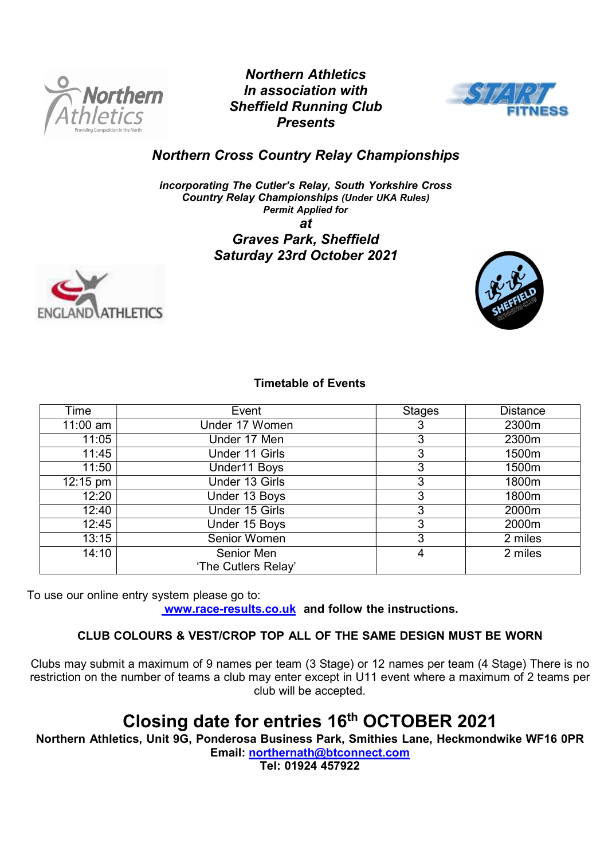

Northern Athletics In association with Sheffield Running Club **Presents** 



Northern Cross Country Relay Championships

incorporating The Cutler's Relay, South Yorkshire Cross Country Relay Championships (Under UKA Rules) Permit Applied for at

Graves Park, Sheffield Saturday 23rd October 2021





# Timetable of Events

| Time               | Event               | <b>Stages</b> | <b>Distance</b> |
|--------------------|---------------------|---------------|-----------------|
| $11:00$ am         | Under 17 Women      | 3             | 2300m           |
| 11:05              | Under 17 Men        | 3             | 2300m           |
| 11:45              | Under 11 Girls      | 3             | 1500m           |
| 11:50              | Under11 Boys        | 3             | 1500m           |
| $12:15 \text{ pm}$ | Under 13 Girls      | 3             | 1800m           |
| 12:20              | Under 13 Boys       | 3             | 1800m           |
| 12:40              | Under 15 Girls      | 3             | 2000m           |
| 12:45              | Under 15 Boys       | 3             | 2000m           |
| 13:15              | Senior Women        | 3             | 2 miles         |
| 14:10              | Senior Men          | 4             | 2 miles         |
|                    | 'The Cutlers Relay' |               |                 |

To use our online entry system please go to: www.race-results.co.uk and follow the instructions.

# CLUB COLOURS & VEST/CROP TOP ALL OF THE SAME DESIGN MUST BE WORN

Clubs may submit a maximum of 9 names per team (3 Stage) or 12 names per team (4 Stage) There is no restriction on the number of teams a club may enter except in U11 event where a maximum of 2 teams per club will be accepted.

# Closing date for entries 16<sup>th</sup> OCTOBER 2021

Northern Athletics, Unit 9G, Ponderosa Business Park, Smithies Lane, Heckmondwike WF16 0PR

Email: northernath@btconnect.com

Tel: 01924 457922